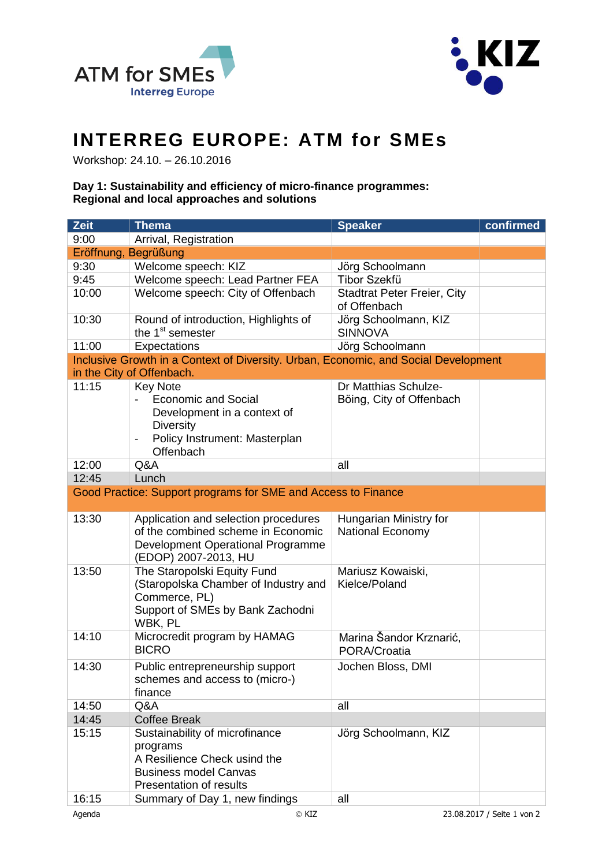



## **INTERREG EUROPE: ATM for SMEs**

Workshop: 24.10. – 26.10.2016

## **Day 1: Sustainability and efficiency of micro-finance programmes: Regional and local approaches and solutions**

| Zeit  | <b>Thema</b>                                                                                                                                   | <b>Speaker</b>                                     | confirmed |
|-------|------------------------------------------------------------------------------------------------------------------------------------------------|----------------------------------------------------|-----------|
| 9:00  | Arrival, Registration                                                                                                                          |                                                    |           |
|       | Eröffnung, Begrüßung                                                                                                                           |                                                    |           |
| 9:30  | Welcome speech: KIZ                                                                                                                            | Jörg Schoolmann                                    |           |
| 9:45  | Welcome speech: Lead Partner FEA                                                                                                               | <b>Tibor Szekfü</b>                                |           |
| 10:00 | Welcome speech: City of Offenbach                                                                                                              | <b>Stadtrat Peter Freier, City</b><br>of Offenbach |           |
| 10:30 | Round of introduction, Highlights of<br>the 1 <sup>st</sup> semester                                                                           | Jörg Schoolmann, KIZ<br><b>SINNOVA</b>             |           |
| 11:00 | Expectations                                                                                                                                   | Jörg Schoolmann                                    |           |
|       | Inclusive Growth in a Context of Diversity. Urban, Economic, and Social Development                                                            |                                                    |           |
|       | in the City of Offenbach.                                                                                                                      |                                                    |           |
| 11:15 | <b>Key Note</b><br><b>Economic and Social</b><br>Development in a context of<br><b>Diversity</b><br>Policy Instrument: Masterplan<br>Offenbach | Dr Matthias Schulze-<br>Böing, City of Offenbach   |           |
| 12:00 | Q&A                                                                                                                                            | all                                                |           |
| 12:45 | Lunch                                                                                                                                          |                                                    |           |
|       | Good Practice: Support programs for SME and Access to Finance                                                                                  |                                                    |           |
|       |                                                                                                                                                |                                                    |           |
| 13:30 | Application and selection procedures<br>of the combined scheme in Economic<br>Development Operational Programme<br>(EDOP) 2007-2013, HU        | Hungarian Ministry for<br><b>National Economy</b>  |           |
| 13:50 | The Staropolski Equity Fund<br>(Staropolska Chamber of Industry and<br>Commerce, PL)<br>Support of SMEs by Bank Zachodni<br>WBK, PL            | Mariusz Kowaiski,<br>Kielce/Poland                 |           |
| 14:10 | Microcredit program by HAMAG<br><b>BICRO</b>                                                                                                   | Marina Šandor Krznarić,<br>PORA/Croatia            |           |
| 14:30 | Public entrepreneurship support<br>schemes and access to (micro-)<br>finance                                                                   | Jochen Bloss, DMI                                  |           |
| 14:50 | Q&A                                                                                                                                            | all                                                |           |
| 14:45 | <b>Coffee Break</b>                                                                                                                            |                                                    |           |
| 15:15 | Sustainability of microfinance<br>programs<br>A Resilience Check usind the<br><b>Business model Canvas</b><br><b>Presentation of results</b>   | Jörg Schoolmann, KIZ                               |           |
| 16:15 | Summary of Day 1, new findings                                                                                                                 | all                                                |           |